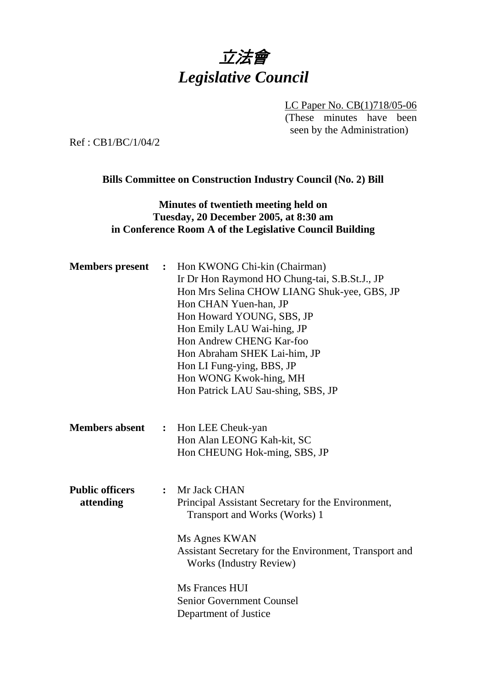# 立法會 *Legislative Council*

LC Paper No. CB(1)718/05-06 (These minutes have been seen by the Administration)

Ref : CB1/BC/1/04/2

#### **Bills Committee on Construction Industry Council (No. 2) Bill**

## **Minutes of twentieth meeting held on Tuesday, 20 December 2005, at 8:30 am in Conference Room A of the Legislative Council Building**

| <b>Members</b> present              |                | : Hon KWONG Chi-kin (Chairman)<br>Ir Dr Hon Raymond HO Chung-tai, S.B.St.J., JP<br>Hon Mrs Selina CHOW LIANG Shuk-yee, GBS, JP<br>Hon CHAN Yuen-han, JP<br>Hon Howard YOUNG, SBS, JP<br>Hon Emily LAU Wai-hing, JP<br>Hon Andrew CHENG Kar-foo<br>Hon Abraham SHEK Lai-him, JP<br>Hon LI Fung-ying, BBS, JP<br>Hon WONG Kwok-hing, MH<br>Hon Patrick LAU Sau-shing, SBS, JP |
|-------------------------------------|----------------|-----------------------------------------------------------------------------------------------------------------------------------------------------------------------------------------------------------------------------------------------------------------------------------------------------------------------------------------------------------------------------|
| <b>Members absent</b>               | $\ddot{\cdot}$ | Hon LEE Cheuk-yan<br>Hon Alan LEONG Kah-kit, SC<br>Hon CHEUNG Hok-ming, SBS, JP                                                                                                                                                                                                                                                                                             |
| <b>Public officers</b><br>attending | $\ddot{\cdot}$ | Mr Jack CHAN<br>Principal Assistant Secretary for the Environment,<br>Transport and Works (Works) 1<br>Ms Agnes KWAN<br>Assistant Secretary for the Environment, Transport and<br><b>Works (Industry Review)</b><br>Ms Frances HUI<br><b>Senior Government Counsel</b><br>Department of Justice                                                                             |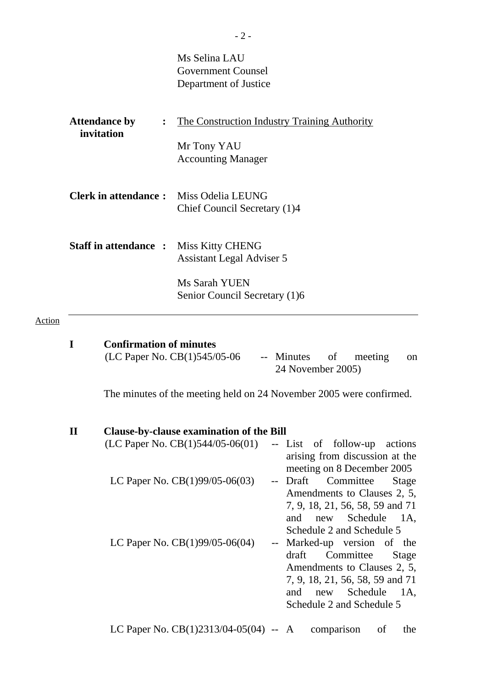|                                                      | Ms Selina LAU<br><b>Government Counsel</b><br>Department of Justice                                    |
|------------------------------------------------------|--------------------------------------------------------------------------------------------------------|
| <b>Attendance by</b><br>$\ddot{\cdot}$<br>invitation | <u>The Construction Industry Training Authority</u><br>Mr Tony YAU<br><b>Accounting Manager</b>        |
| <b>Clerk in attendance:</b> Miss Odelia LEUNG        | Chief Council Secretary (1)4                                                                           |
| <b>Staff in attendance :</b>                         | <b>Miss Kitty CHENG</b><br>Assistant Legal Adviser 5<br>Ms Sarah YUEN<br>Senior Council Secretary (1)6 |
|                                                      |                                                                                                        |

# Action

|          | <b>Confirmation of minutes</b>                                      |                                                                                                                                                                                                |
|----------|---------------------------------------------------------------------|------------------------------------------------------------------------------------------------------------------------------------------------------------------------------------------------|
|          | (LC Paper No. CB(1)545/05-06                                        | -- Minutes of<br>meeting<br><sub>on</sub><br>24 November 2005)                                                                                                                                 |
|          | The minutes of the meeting held on 24 November 2005 were confirmed. |                                                                                                                                                                                                |
| $\bf{I}$ | <b>Clause-by-clause examination of the Bill</b>                     |                                                                                                                                                                                                |
|          | (LC Paper No. $CB(1)544/05-06(01)$                                  | -- List of follow-up actions<br>arising from discussion at the<br>meeting on 8 December 2005                                                                                                   |
|          | LC Paper No. CB(1)99/05-06(03)                                      | -- Draft Committee<br>Stage<br>Amendments to Clauses 2, 5,<br>7, 9, 18, 21, 56, 58, 59 and 71<br>new Schedule 1A,<br>and<br>Schedule 2 and Schedule 5                                          |
|          | LC Paper No. $CB(1)99/05-06(04)$                                    | -- Marked-up version of the<br>draft<br>Committee<br><b>Stage</b><br>Amendments to Clauses 2, 5,<br>7, 9, 18, 21, 56, 58, 59 and 71<br>and<br>Schedule 1A,<br>new<br>Schedule 2 and Schedule 5 |

LC Paper No. CB(1)2313/04-05(04) -- A comparison of the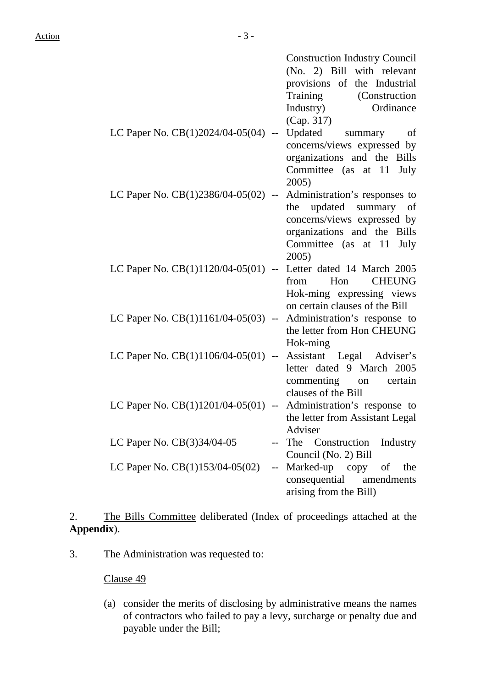|                                                                     | <b>Construction Industry Council</b><br>(No. 2) Bill with relevant<br>provisions of the Industrial<br>Training (Construction<br>Industry)<br>Ordinance |
|---------------------------------------------------------------------|--------------------------------------------------------------------------------------------------------------------------------------------------------|
| LC Paper No. $CB(1)2024/04-05(04)$ -- Updated summary               | (Cap. 317)<br>of<br>concerns/views expressed by<br>organizations and the Bills<br>Committee (as at 11 July<br>2005)                                    |
| LC Paper No. $CB(1)2386/04-05(02)$ -- Administration's responses to | the updated summary of<br>concerns/views expressed by<br>organizations and the Bills<br>Committee (as at 11 July<br>2005)                              |
| LC Paper No. CB(1)1120/04-05(01) -- Letter dated 14 March 2005      | from<br>Hon<br><b>CHEUNG</b><br>Hok-ming expressing views<br>on certain clauses of the Bill                                                            |
| LC Paper No. $CB(1)1161/04-05(03)$ -- Administration's response to  | the letter from Hon CHEUNG<br>Hok-ming                                                                                                                 |
| LC Paper No. CB(1)1106/04-05(01) -- Assistant Legal Adviser's       | letter dated 9 March 2005<br>commenting on certain<br>clauses of the Bill                                                                              |
| LC Paper No. CB(1)1201/04-05(01) -- Administration's response to    | the letter from Assistant Legal<br>Adviser                                                                                                             |
| LC Paper No. CB(3)34/04-05                                          | The Construction<br>Industry<br>Council (No. 2) Bill                                                                                                   |
| LC Paper No. CB(1)153/04-05(02)<br>$-$                              | Marked-up copy<br>the<br>of<br>consequential<br>amendments<br>arising from the Bill)                                                                   |

2. The Bills Committee deliberated (Index of proceedings attached at the **Appendix**).

3. The Administration was requested to:

Clause 49

(a) consider the merits of disclosing by administrative means the names of contractors who failed to pay a levy, surcharge or penalty due and payable under the Bill;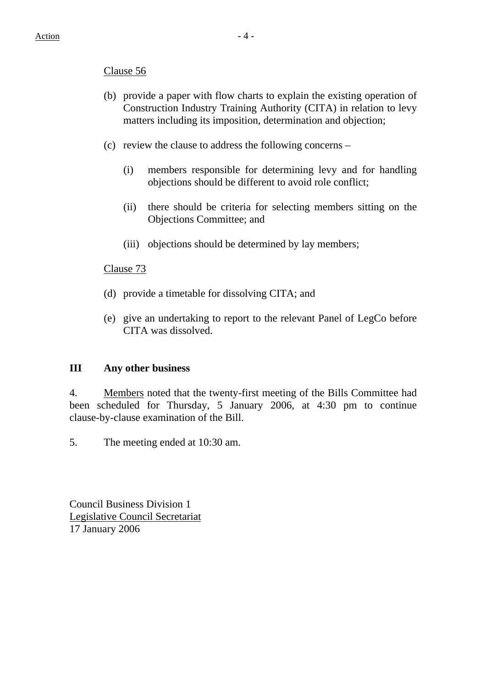## Clause 56

- (b) provide a paper with flow charts to explain the existing operation of Construction Industry Training Authority (CITA) in relation to levy matters including its imposition, determination and objection;
- (c) review the clause to address the following concerns
	- (i) members responsible for determining levy and for handling objections should be different to avoid role conflict;
	- (ii) there should be criteria for selecting members sitting on the Objections Committee; and
	- (iii) objections should be determined by lay members;

#### Clause 73

- (d) provide a timetable for dissolving CITA; and
- (e) give an undertaking to report to the relevant Panel of LegCo before CITA was dissolved.

#### **III Any other business**

4. Members noted that the twenty-first meeting of the Bills Committee had been scheduled for Thursday, 5 January 2006, at 4:30 pm to continue clause-by-clause examination of the Bill.

5. The meeting ended at 10:30 am.

Council Business Division 1 Legislative Council Secretariat 17 January 2006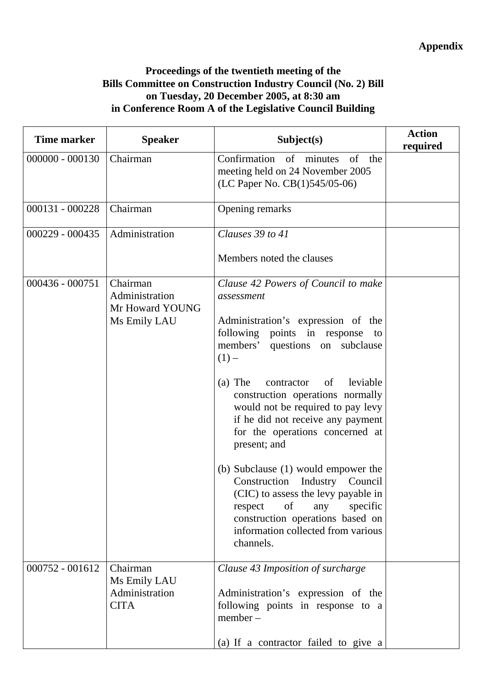# **Appendix**

## **Proceedings of the twentieth meeting of the Bills Committee on Construction Industry Council (No. 2) Bill on Tuesday, 20 December 2005, at 8:30 am in Conference Room A of the Legislative Council Building**

| <b>Time marker</b> | <b>Speaker</b>                                                | Subject(s)                                                                                                                                                                                                                                                                                                                                                                                                                                                                                                                                                                                                                             | <b>Action</b><br>required |
|--------------------|---------------------------------------------------------------|----------------------------------------------------------------------------------------------------------------------------------------------------------------------------------------------------------------------------------------------------------------------------------------------------------------------------------------------------------------------------------------------------------------------------------------------------------------------------------------------------------------------------------------------------------------------------------------------------------------------------------------|---------------------------|
| $000000 - 000130$  | Chairman                                                      | Confirmation of minutes<br>of<br>the<br>meeting held on 24 November 2005<br>(LC Paper No. CB(1)545/05-06)                                                                                                                                                                                                                                                                                                                                                                                                                                                                                                                              |                           |
| $000131 - 000228$  | Chairman                                                      | Opening remarks                                                                                                                                                                                                                                                                                                                                                                                                                                                                                                                                                                                                                        |                           |
| $000229 - 000435$  | Administration                                                | Clauses 39 to 41<br>Members noted the clauses                                                                                                                                                                                                                                                                                                                                                                                                                                                                                                                                                                                          |                           |
| $000436 - 000751$  | Chairman<br>Administration<br>Mr Howard YOUNG<br>Ms Emily LAU | Clause 42 Powers of Council to make<br>assessment<br>Administration's expression of the<br>following points in response<br>to<br>members' questions on subclause<br>$(1)$ –<br>$(a)$ The<br>leviable<br>contractor<br>of<br>construction operations normally<br>would not be required to pay levy<br>if he did not receive any payment<br>for the operations concerned at<br>present; and<br>(b) Subclause (1) would empower the<br>Construction Industry<br>Council<br>(CIC) to assess the levy payable in<br>of<br>specific<br>respect<br>any<br>construction operations based on<br>information collected from various<br>channels. |                           |
| $000752 - 001612$  | Chairman<br>Ms Emily LAU<br>Administration<br><b>CITA</b>     | Clause 43 Imposition of surcharge<br>Administration's expression of the<br>following points in response to a<br>$member -$<br>(a) If a contractor failed to give a                                                                                                                                                                                                                                                                                                                                                                                                                                                                     |                           |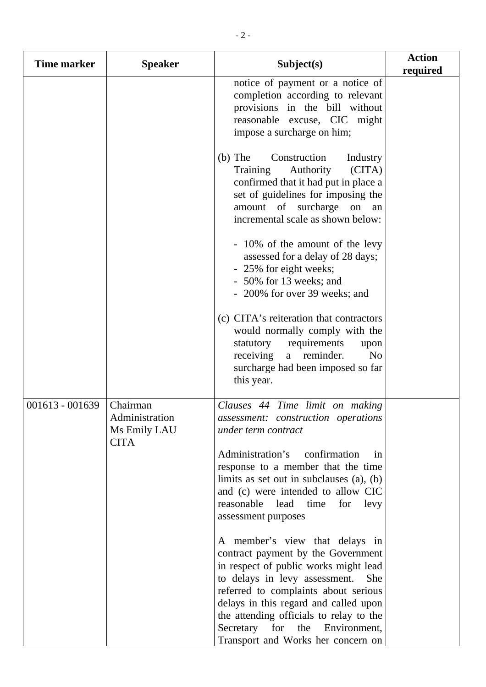| Time marker       | <b>Speaker</b>                                            | Subject(s)                                                                                                                                                                                                                                                                                                                                                       | <b>Action</b><br>required |
|-------------------|-----------------------------------------------------------|------------------------------------------------------------------------------------------------------------------------------------------------------------------------------------------------------------------------------------------------------------------------------------------------------------------------------------------------------------------|---------------------------|
|                   |                                                           | notice of payment or a notice of<br>completion according to relevant<br>provisions in the bill without<br>reasonable excuse, CIC might<br>impose a surcharge on him;                                                                                                                                                                                             |                           |
|                   |                                                           | $(b)$ The<br>Construction<br>Industry<br>Authority<br>Training<br>(CITA)<br>confirmed that it had put in place a<br>set of guidelines for imposing the<br>amount of surcharge on<br>an<br>incremental scale as shown below:                                                                                                                                      |                           |
|                   |                                                           | - 10% of the amount of the levy<br>assessed for a delay of 28 days;<br>- 25% for eight weeks;<br>- 50% for 13 weeks; and<br>- 200% for over 39 weeks; and                                                                                                                                                                                                        |                           |
|                   |                                                           | (c) CITA's reiteration that contractors<br>would normally comply with the<br>statutory requirements<br>upon<br>receiving<br>reminder.<br>N <sub>o</sub><br>a<br>surcharge had been imposed so far<br>this year.                                                                                                                                                  |                           |
| $001613 - 001639$ | Chairman<br>Administration<br>Ms Emily LAU<br><b>CITA</b> | Clauses 44 Time limit on making<br>assessment: construction operations<br>under term contract                                                                                                                                                                                                                                                                    |                           |
|                   |                                                           | Administration's<br>confirmation<br>1n<br>response to a member that the time<br>limits as set out in subclauses $(a)$ , $(b)$<br>and (c) were intended to allow CIC<br>reasonable lead<br>time<br>for<br>levy<br>assessment purposes                                                                                                                             |                           |
|                   |                                                           | A member's view that delays in<br>contract payment by the Government<br>in respect of public works might lead<br>to delays in levy assessment.<br><b>She</b><br>referred to complaints about serious<br>delays in this regard and called upon<br>the attending officials to relay to the<br>Secretary for the Environment,<br>Transport and Works her concern on |                           |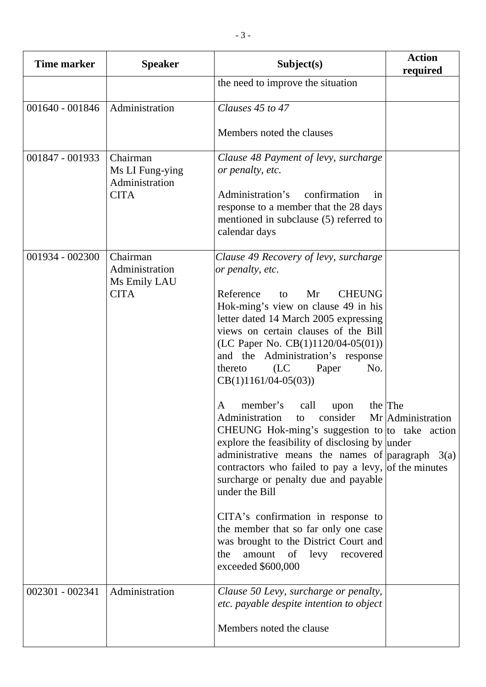| <b>Time marker</b> | <b>Speaker</b>                                | Subject(s)                                                                                                                                                                                                                                                                                                                                    | <b>Action</b><br>required    |
|--------------------|-----------------------------------------------|-----------------------------------------------------------------------------------------------------------------------------------------------------------------------------------------------------------------------------------------------------------------------------------------------------------------------------------------------|------------------------------|
|                    |                                               | the need to improve the situation                                                                                                                                                                                                                                                                                                             |                              |
| 001640 - 001846    | Administration                                | Clauses 45 to 47                                                                                                                                                                                                                                                                                                                              |                              |
|                    |                                               | Members noted the clauses                                                                                                                                                                                                                                                                                                                     |                              |
| 001847 - 001933    | Chairman<br>Ms LI Fung-ying<br>Administration | Clause 48 Payment of levy, surcharge<br>or penalty, etc.                                                                                                                                                                                                                                                                                      |                              |
|                    | <b>CITA</b>                                   | Administration's<br>confirmation<br>in<br>response to a member that the 28 days<br>mentioned in subclause (5) referred to<br>calendar days                                                                                                                                                                                                    |                              |
| 001934 - 002300    | Chairman<br>Administration<br>Ms Emily LAU    | Clause 49 Recovery of levy, surcharge<br>or penalty, etc.                                                                                                                                                                                                                                                                                     |                              |
|                    | <b>CITA</b>                                   | Reference<br><b>CHEUNG</b><br>Mr<br>to<br>Hok-ming's view on clause 49 in his<br>letter dated 14 March 2005 expressing<br>views on certain clauses of the Bill<br>(LC Paper No. CB(1)1120/04-05(01))<br>and the Administration's response<br>(LC)<br>thereto<br>No.<br>Paper<br>$CB(1)1161/04-05(03))$                                        |                              |
|                    |                                               | member's<br>call<br>A<br>upon<br>Administration to consider<br>CHEUNG Hok-ming's suggestion to to take action<br>explore the feasibility of disclosing by under<br>administrative means the names of $\vert$ paragraph 3(a)<br>contractors who failed to pay a levy, of the minutes<br>surcharge or penalty due and payable<br>under the Bill | the The<br>Mr Administration |
|                    |                                               | CITA's confirmation in response to<br>the member that so far only one case<br>was brought to the District Court and<br>amount of levy recovered<br>the<br>exceeded \$600,000                                                                                                                                                                  |                              |
| 002301 - 002341    | Administration                                | Clause 50 Levy, surcharge or penalty,<br>etc. payable despite intention to object<br>Members noted the clause                                                                                                                                                                                                                                 |                              |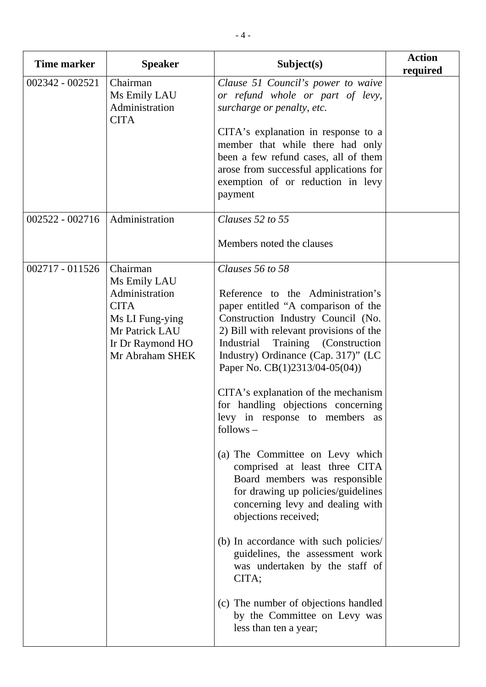| <b>Time marker</b> | <b>Speaker</b>                                                                                                                        | Subject(s)                                                                                                                                                                                                                                                                                                                                                                                                                                                                                                                                                                                                                                                                                                                                                                                                                                                | <b>Action</b><br>required |
|--------------------|---------------------------------------------------------------------------------------------------------------------------------------|-----------------------------------------------------------------------------------------------------------------------------------------------------------------------------------------------------------------------------------------------------------------------------------------------------------------------------------------------------------------------------------------------------------------------------------------------------------------------------------------------------------------------------------------------------------------------------------------------------------------------------------------------------------------------------------------------------------------------------------------------------------------------------------------------------------------------------------------------------------|---------------------------|
| 002342 - 002521    | Chairman<br>Ms Emily LAU<br>Administration<br><b>CITA</b>                                                                             | Clause 51 Council's power to waive<br>or refund whole or part of levy,<br>surcharge or penalty, etc.<br>CITA's explanation in response to a<br>member that while there had only<br>been a few refund cases, all of them<br>arose from successful applications for<br>exemption of or reduction in levy<br>payment                                                                                                                                                                                                                                                                                                                                                                                                                                                                                                                                         |                           |
| $002522 - 002716$  | Administration                                                                                                                        | Clauses 52 to 55                                                                                                                                                                                                                                                                                                                                                                                                                                                                                                                                                                                                                                                                                                                                                                                                                                          |                           |
|                    |                                                                                                                                       | Members noted the clauses                                                                                                                                                                                                                                                                                                                                                                                                                                                                                                                                                                                                                                                                                                                                                                                                                                 |                           |
| $002717 - 011526$  | Chairman<br>Ms Emily LAU<br>Administration<br><b>CITA</b><br>Ms LI Fung-ying<br>Mr Patrick LAU<br>Ir Dr Raymond HO<br>Mr Abraham SHEK | Clauses 56 to 58<br>Reference to the Administration's<br>paper entitled "A comparison of the<br>Construction Industry Council (No.<br>2) Bill with relevant provisions of the<br>Training (Construction<br>Industrial<br>Industry) Ordinance (Cap. 317)" (LC<br>Paper No. CB(1)2313/04-05(04))<br>CITA's explanation of the mechanism<br>for handling objections concerning<br>levy in response to members as<br>follows –<br>(a) The Committee on Levy which<br>comprised at least three CITA<br>Board members was responsible<br>for drawing up policies/guidelines<br>concerning levy and dealing with<br>objections received;<br>(b) In accordance with such policies/<br>guidelines, the assessment work<br>was undertaken by the staff of<br>CITA;<br>(c) The number of objections handled<br>by the Committee on Levy was<br>less than ten a year; |                           |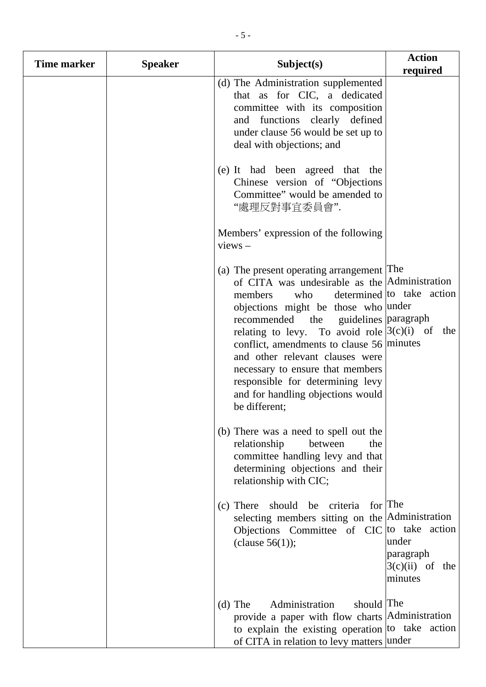| <b>Time marker</b> | <b>Speaker</b> | Subject(s)                                                                                                                                                                                                                                                                                                                                                                                                                                                       | <b>Action</b><br>required                          |
|--------------------|----------------|------------------------------------------------------------------------------------------------------------------------------------------------------------------------------------------------------------------------------------------------------------------------------------------------------------------------------------------------------------------------------------------------------------------------------------------------------------------|----------------------------------------------------|
|                    |                | (d) The Administration supplemented<br>that as for CIC, a dedicated<br>committee with its composition<br>functions clearly defined<br>and<br>under clause 56 would be set up to<br>deal with objections; and                                                                                                                                                                                                                                                     |                                                    |
|                    |                | (e) It had been agreed that the<br>Chinese version of "Objections"<br>Committee" would be amended to<br>"處理反對事宜委員會".                                                                                                                                                                                                                                                                                                                                             |                                                    |
|                    |                | Members' expression of the following<br>$views -$                                                                                                                                                                                                                                                                                                                                                                                                                |                                                    |
|                    |                | (a) The present operating arrangement The<br>of CITA was undesirable as the Administration<br>members<br>who<br>objections might be those who under<br>recommended the<br>guidelines paragraph<br>relating to levy. To avoid role $(3(c)(i))$ of<br>conflict, amendments to clause $56$ minutes<br>and other relevant clauses were<br>necessary to ensure that members<br>responsible for determining levy<br>and for handling objections would<br>be different; | determined to take action<br>the                   |
|                    |                | (b) There was a need to spell out the<br>relationship<br>between<br>the<br>committee handling levy and that<br>determining objections and their<br>relationship with CIC;                                                                                                                                                                                                                                                                                        |                                                    |
|                    |                | for The<br>should be criteria<br>$(c)$ There<br>selecting members sitting on the Administration<br>Objections Committee of CIC to take action<br>(clause $56(1)$ );                                                                                                                                                                                                                                                                                              | under<br>paragraph<br>$3(c)(ii)$ of the<br>minutes |
|                    |                | should The<br>Administration<br>$(d)$ The<br>provide a paper with flow charts Administration<br>to explain the existing operation to take action<br>of CITA in relation to levy matters under                                                                                                                                                                                                                                                                    |                                                    |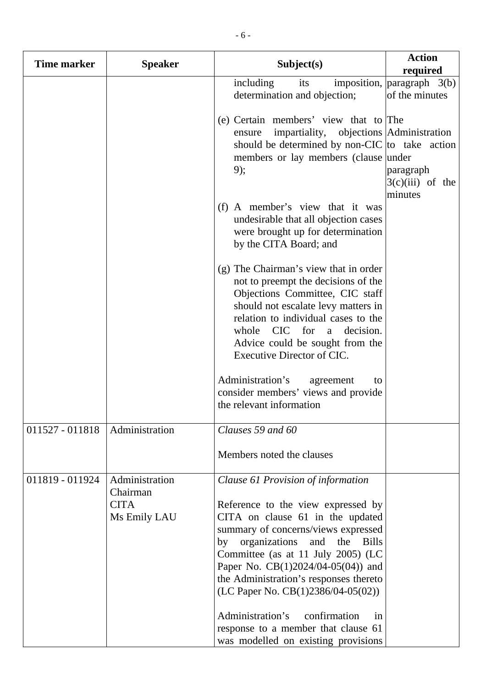| Time marker     | <b>Speaker</b>                                            | Subject(s)                                                                                                                                                                                                                                                                                                                                                                                                                                                                           | <b>Action</b><br>required                            |
|-----------------|-----------------------------------------------------------|--------------------------------------------------------------------------------------------------------------------------------------------------------------------------------------------------------------------------------------------------------------------------------------------------------------------------------------------------------------------------------------------------------------------------------------------------------------------------------------|------------------------------------------------------|
|                 |                                                           | including<br>its<br>determination and objection;                                                                                                                                                                                                                                                                                                                                                                                                                                     | imposition, $\vert$ paragraph 3(b)<br>of the minutes |
|                 |                                                           | (e) Certain members' view that to The<br>impartiality, objections Administration<br>ensure<br>should be determined by non-CIC to take action<br>members or lay members (clause under<br>9);                                                                                                                                                                                                                                                                                          | paragraph<br>$3(c)(iii)$ of the<br>minutes           |
|                 |                                                           | (f) A member's view that it was<br>undesirable that all objection cases<br>were brought up for determination<br>by the CITA Board; and                                                                                                                                                                                                                                                                                                                                               |                                                      |
|                 |                                                           | (g) The Chairman's view that in order<br>not to preempt the decisions of the<br>Objections Committee, CIC staff<br>should not escalate levy matters in<br>relation to individual cases to the<br>CIC for<br>whole<br>decision.<br>a<br>Advice could be sought from the<br>Executive Director of CIC.                                                                                                                                                                                 |                                                      |
|                 |                                                           | Administration's<br>agreement<br>to<br>consider members' views and provide<br>the relevant information                                                                                                                                                                                                                                                                                                                                                                               |                                                      |
| 011527 - 011818 | Administration                                            | Clauses 59 and 60<br>Members noted the clauses                                                                                                                                                                                                                                                                                                                                                                                                                                       |                                                      |
| 011819 - 011924 | Administration<br>Chairman<br><b>CITA</b><br>Ms Emily LAU | Clause 61 Provision of information<br>Reference to the view expressed by<br>CITA on clause 61 in the updated<br>summary of concerns/views expressed<br>organizations<br>and<br>the Bills<br>by<br>Committee (as at 11 July 2005) (LC<br>Paper No. CB(1)2024/04-05(04)) and<br>the Administration's responses thereto<br>(LC Paper No. $CB(1)2386/04-05(02))$<br>Administration's<br>confirmation<br>in<br>response to a member that clause 61<br>was modelled on existing provisions |                                                      |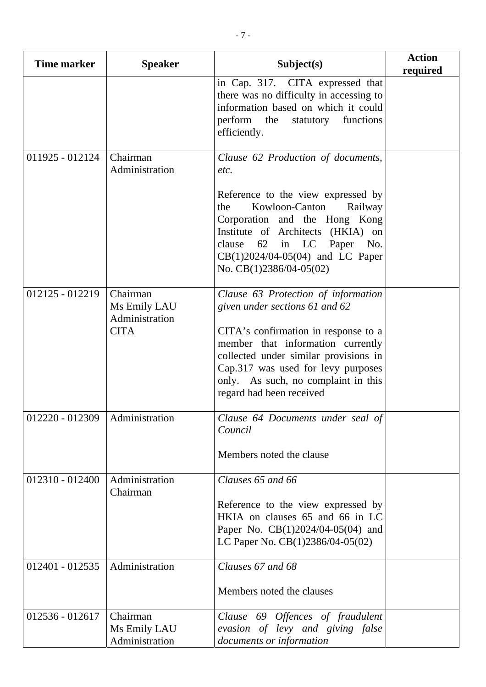| <b>Time marker</b>               | <b>Speaker</b>                                            | Subject(s)                                                                                                                                                                                                                                                                                            | <b>Action</b><br>required |
|----------------------------------|-----------------------------------------------------------|-------------------------------------------------------------------------------------------------------------------------------------------------------------------------------------------------------------------------------------------------------------------------------------------------------|---------------------------|
|                                  |                                                           | in Cap. 317. CITA expressed that<br>there was no difficulty in accessing to<br>information based on which it could<br>perform the statutory<br>functions<br>efficiently.                                                                                                                              |                           |
| 011925 - 012124                  | Chairman<br>Administration                                | Clause 62 Production of documents,<br>etc.<br>Reference to the view expressed by<br>Kowloon-Canton<br>Railway<br>the<br>Corporation and the Hong Kong<br>Institute of Architects (HKIA) on<br>clause<br>$62$ in LC<br>Paper<br>No.<br>$CB(1)2024/04-05(04)$ and LC Paper<br>No. $CB(1)2386/04-05(02)$ |                           |
| 012125 - 012219                  | Chairman<br>Ms Emily LAU<br>Administration<br><b>CITA</b> | Clause 63 Protection of information<br>given under sections 61 and 62<br>CITA's confirmation in response to a<br>member that information currently<br>collected under similar provisions in<br>Cap.317 was used for levy purposes<br>only. As such, no complaint in this<br>regard had been received  |                           |
| 012220 - 012309   Administration |                                                           | Clause 64 Documents under seal of<br>Council<br>Members noted the clause                                                                                                                                                                                                                              |                           |
| 012310 - 012400                  | Administration<br>Chairman                                | Clauses 65 and 66<br>Reference to the view expressed by<br>HKIA on clauses 65 and 66 in LC<br>Paper No. CB(1)2024/04-05(04) and<br>LC Paper No. $CB(1)2386/04-05(02)$                                                                                                                                 |                           |
| $012401 - 012535$                | Administration                                            | Clauses 67 and 68<br>Members noted the clauses                                                                                                                                                                                                                                                        |                           |
| 012536 - 012617                  | Chairman<br>Ms Emily LAU<br>Administration                | Clause 69 Offences of fraudulent<br>evasion of levy and giving false<br>documents or information                                                                                                                                                                                                      |                           |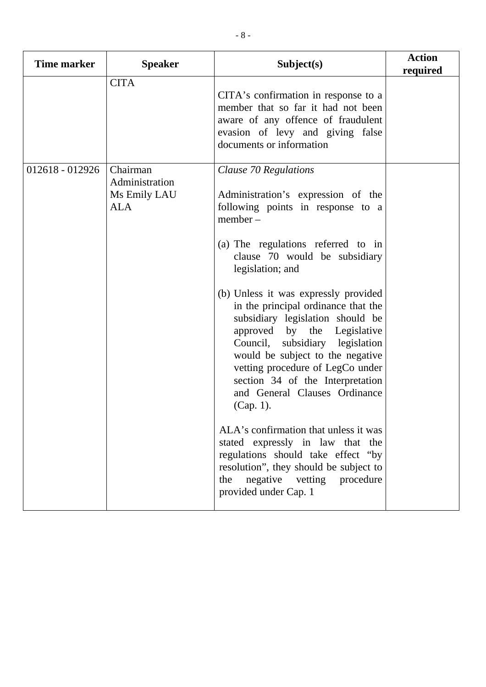| <b>Time marker</b> | <b>Speaker</b>                                           | Subject(s)                                                                                                                                                                                                                                                                                                                                     | <b>Action</b><br>required |
|--------------------|----------------------------------------------------------|------------------------------------------------------------------------------------------------------------------------------------------------------------------------------------------------------------------------------------------------------------------------------------------------------------------------------------------------|---------------------------|
|                    | <b>CITA</b>                                              | CITA's confirmation in response to a<br>member that so far it had not been<br>aware of any offence of fraudulent<br>evasion of levy and giving false<br>documents or information                                                                                                                                                               |                           |
| 012618 - 012926    | Chairman<br>Administration<br>Ms Emily LAU<br><b>ALA</b> | Clause 70 Regulations<br>Administration's expression of the<br>following points in response to a<br>$member -$<br>(a) The regulations referred to in<br>clause 70 would be subsidiary<br>legislation; and                                                                                                                                      |                           |
|                    |                                                          | (b) Unless it was expressly provided<br>in the principal ordinance that the<br>subsidiary legislation should be<br>approved by the Legislative<br>Council, subsidiary legislation<br>would be subject to the negative<br>vetting procedure of LegCo under<br>section 34 of the Interpretation<br>and General Clauses Ordinance<br>$(Cap. 1)$ . |                           |
|                    |                                                          | ALA's confirmation that unless it was<br>stated expressly in law that the<br>regulations should take effect "by<br>resolution", they should be subject to<br>negative<br>vetting<br>procedure<br>the<br>provided under Cap. 1                                                                                                                  |                           |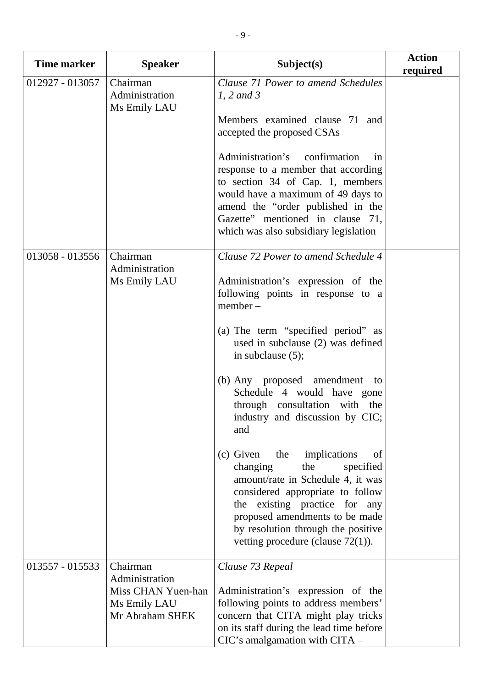| <b>Time marker</b> | <b>Speaker</b>                                                                      | Subject(s)                                                                                                                                                                                                                                                                                       | <b>Action</b><br>required |
|--------------------|-------------------------------------------------------------------------------------|--------------------------------------------------------------------------------------------------------------------------------------------------------------------------------------------------------------------------------------------------------------------------------------------------|---------------------------|
| 012927 - 013057    | Chairman<br>Administration<br>Ms Emily LAU                                          | Clause 71 Power to amend Schedules<br>$1, 2$ and 3                                                                                                                                                                                                                                               |                           |
|                    |                                                                                     | Members examined clause 71 and<br>accepted the proposed CSAs                                                                                                                                                                                                                                     |                           |
|                    |                                                                                     | Administration's confirmation<br>1n<br>response to a member that according<br>to section 34 of Cap. 1, members<br>would have a maximum of 49 days to<br>amend the "order published in the<br>Gazette" mentioned in clause 71,<br>which was also subsidiary legislation                           |                           |
| 013058 - 013556    | Chairman<br>Administration<br>Ms Emily LAU                                          | Clause 72 Power to amend Schedule 4<br>Administration's expression of the<br>following points in response to a<br>$member -$                                                                                                                                                                     |                           |
|                    |                                                                                     | (a) The term "specified period" as<br>used in subclause (2) was defined<br>in subclause $(5)$ ;                                                                                                                                                                                                  |                           |
|                    |                                                                                     | (b) Any proposed amendment to<br>Schedule 4 would have gone<br>through consultation with the<br>industry and discussion by CIC;<br>and                                                                                                                                                           |                           |
|                    |                                                                                     | implications<br>(c) Given<br>the<br>of<br>changing<br>specified<br>the<br>amount/rate in Schedule 4, it was<br>considered appropriate to follow<br>the existing practice for any<br>proposed amendments to be made<br>by resolution through the positive<br>vetting procedure (clause $72(1)$ ). |                           |
| 013557 - 015533    | Chairman<br>Administration<br>Miss CHAN Yuen-han<br>Ms Emily LAU<br>Mr Abraham SHEK | Clause 73 Repeal<br>Administration's expression of the<br>following points to address members'<br>concern that CITA might play tricks<br>on its staff during the lead time before<br>CIC's amalgamation with CITA -                                                                              |                           |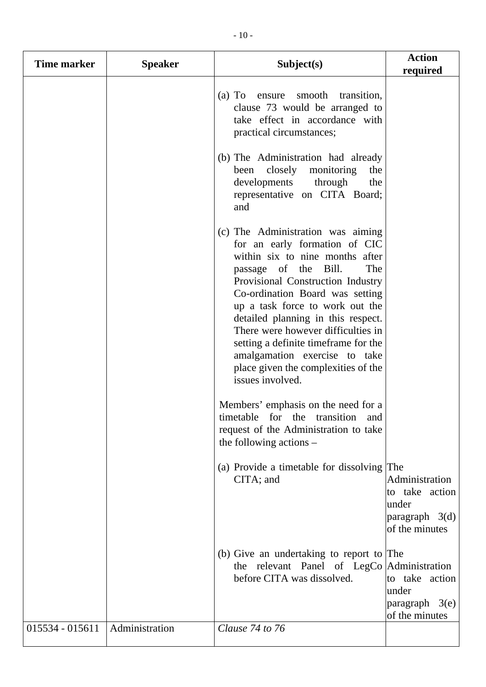| Time marker       | <b>Speaker</b> | Subject(s)                                                                                                                                                                                                                                                                                                                                                                                                                                                      | <b>Action</b><br>required                                                              |
|-------------------|----------------|-----------------------------------------------------------------------------------------------------------------------------------------------------------------------------------------------------------------------------------------------------------------------------------------------------------------------------------------------------------------------------------------------------------------------------------------------------------------|----------------------------------------------------------------------------------------|
|                   |                | ensure smooth transition,<br>$(a)$ To<br>clause 73 would be arranged to<br>take effect in accordance with<br>practical circumstances;                                                                                                                                                                                                                                                                                                                           |                                                                                        |
|                   |                | (b) The Administration had already<br>closely<br>monitoring<br>been<br>the<br>developments<br>through<br>the<br>representative on CITA Board;<br>and                                                                                                                                                                                                                                                                                                            |                                                                                        |
|                   |                | (c) The Administration was aiming<br>for an early formation of CIC<br>within six to nine months after<br>passage of the Bill.<br>The<br>Provisional Construction Industry<br>Co-ordination Board was setting<br>up a task force to work out the<br>detailed planning in this respect.<br>There were however difficulties in<br>setting a definite timeframe for the<br>amalgamation exercise to take<br>place given the complexities of the<br>issues involved. |                                                                                        |
|                   |                | Members' emphasis on the need for a<br>timetable for the transition<br>and<br>request of the Administration to take<br>the following actions $-$                                                                                                                                                                                                                                                                                                                |                                                                                        |
|                   |                | (a) Provide a timetable for dissolving<br>CITA; and                                                                                                                                                                                                                                                                                                                                                                                                             | The<br>Administration<br>to take action<br>under<br>paragraph $3(d)$<br>of the minutes |
|                   |                | (b) Give an undertaking to report to The<br>the relevant Panel of LegCo   Administration<br>before CITA was dissolved.                                                                                                                                                                                                                                                                                                                                          | to take action<br>under<br>$paragraph \quad 3(e)$<br>of the minutes                    |
| $015534 - 015611$ | Administration | Clause 74 to 76                                                                                                                                                                                                                                                                                                                                                                                                                                                 |                                                                                        |